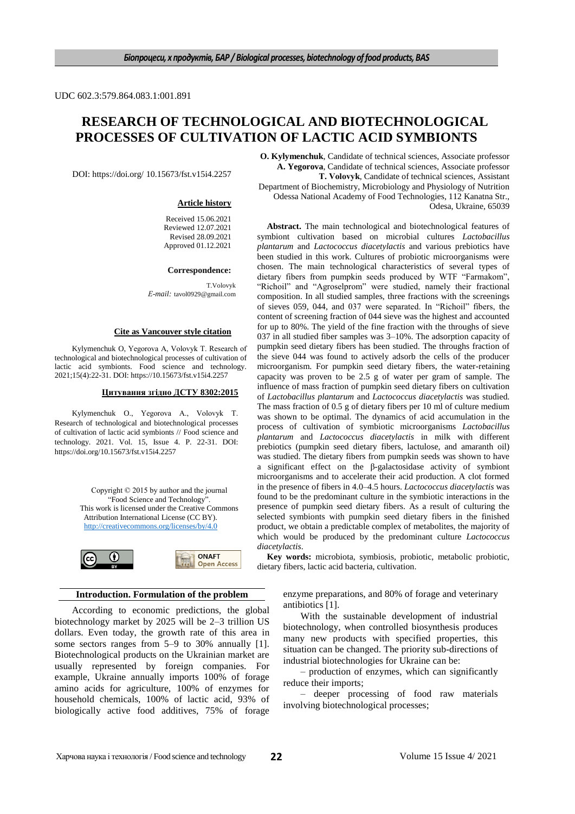UDC 602.3:579.864.083.1:001.891

# **RESEARCH OF TECHNOLOGICAL AND BIOTECHNOLOGICAL PROCESSES OF CULTIVATION OF LACTIC ACID SYMBIONTS**

DOI: https://doi.org/ 10.15673/fst.v15i4.2257

#### **Article history**

Received 15.06.2021 Reviewed 12.07.2021 Revised 28.09.2021 Approved 01.12.2021

**Correspondence:**

T.Volovyk *Е-mail:* tavol0929@gmail.com

### **Cite as Vancouver style citation**

Kylymenchuk O, Yegorova A, Volovуk Т. Research of technological and biotechnological processes of cultivation of lactic acid symbionts. Food science and technology. 2021;15(4):22-31. DOI: https://10.15673/fst.v15i4.2257

### **Цитування згідно ДСТУ 8302:2015**

Kylymenchuk O., Yegorova A., Volovуk Т. Research of technological and biotechnological processes of cultivation of lactic acid symbionts // Food science and technology. 2021. Vol. 15, Issue 4. P. 22-31. DOI: https://doi.org/10.15673/fst.v15i4.2257





### **Introduction. Formulation of the problem**

According to economic predictions, the global biotechnology market by 2025 will be 2–3 trillion US dollars. Even today, the growth rate of this area in some sectors ranges from 5–9 to 30% annually [1]. Biotechnological products on the Ukrainian market are usually represented by foreign companies. For example, Ukraine annually imports 100% of forage amino acids for agriculture, 100% of enzymes for household chemicals, 100% of lactic acid, 93% of biologically active food additives, 75% of forage

**O. Kylymenchuk**, Candidate of technical sciences, Associate professor **A. Yegorova**, Candidate of technical sciences, Associate professor **Т. Volovуk**, Candidate of technical sciences, Assistant Department of Biochemistry, Microbiology and Physiology of Nutrition Odessa National Academy of Food Technologies, 112 Kanatna Str., Odesa, Ukraine, 65039

**Abstract.** The main technological and biotechnological features of symbiont cultivation based on microbial cultures *Lactobacillus plantarum* and *Lactococcus diacetylactis* and various prebiotics have been studied in this work. Cultures of probiotic microorganisms were chosen. The main technological characteristics of several types of dietary fibers from pumpkin seeds produced by WTF "Farmakom", "Richoil" and "Agroselprom" were studied, namely their fractional composition. In all studied samples, three fractions with the screenings of sieves 059, 044, and 037 were separated. In "Richoil" fibers, the content of screening fraction of 044 sieve was the highest and accounted for up to 80%. The yield of the fine fraction with the throughs of sieve 037 in all studied fiber samples was 3–10%. The adsorption capacity of pumpkin seed dietary fibers has been studied. The throughs fraction of the sieve 044 was found to actively adsorb the cells of the producer microorganism. For pumpkin seed dietary fibers, the water-retaining capacity was proven to be 2.5 g of water per gram of sample. The influence of mass fraction of pumpkin seed dietary fibers on cultivation of *Lactobacillus plantarum* and *Lactococcus diacetylactis* was studied. The mass fraction of 0.5 g of dietary fibers per 10 ml of culture medium was shown to be optimal. The dynamics of acid accumulation in the process of cultivation of symbiotic microorganisms *Lactobacillus plantarum* and *Lactococcus diacetylactis* in milk with different prebiotics (pumpkin seed dietary fibers, lactulose, and amaranth oil) was studied. The dietary fibers from pumpkin seeds was shown to have a significant effect on the β-galactosidase activity of symbiont microorganisms and to accelerate their acid production. A clot formed in the presence of fibers in 4.0–4.5 hours. *Lactococcus diacetylactis* was found to be the predominant culture in the symbiotic interactions in the presence of pumpkin seed dietary fibers. As a result of culturing the selected symbionts with pumpkin seed dietary fibers in the finished product, we obtain a predictable complex of metabolites, the majority of which would be produced by the predominant culture *Lactococcus diacetylactis*.

**Key words:** microbiota, symbiosis, probiotic, metabolic probiotic, dietary fibers, lactic acid bacteria, cultivation.

> enzyme preparations, and 80% of forage and veterinary antibiotics [1].

> With the sustainable development of industrial biotechnology, when controlled biosynthesis produces many new products with specified properties, this situation can be changed. The priority sub-directions of industrial biotechnologies for Ukraine can be:

> – production of enzymes, which can significantly reduce their imports;

> – deeper processing of food raw materials involving biotechnological processes;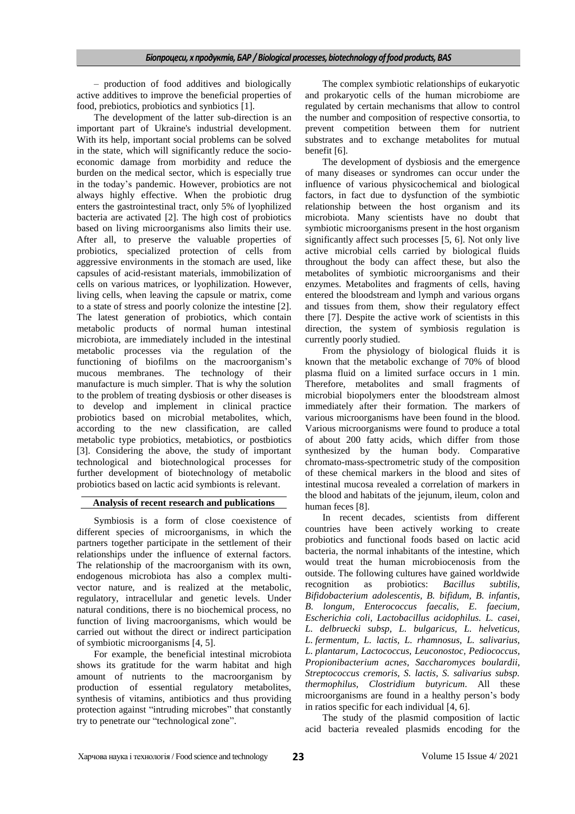– production of food additives and biologically active additives to improve the beneficial properties of food, prebiotics, probiotics and synbiotics [1].

The development of the latter sub-direction is an important part of Ukraine's industrial development. With its help, important social problems can be solved in the state, which will significantly reduce the socioeconomic damage from morbidity and reduce the burden on the medical sector, which is especially true in the today's pandemic. However, probiotics are not always highly effective. When the probiotic drug enters the gastrointestinal tract, only 5% of lyophilized bacteria are activated [2]. The high cost of probiotics based on living microorganisms also limits their use. After all, to preserve the valuable properties of probiotics, specialized protection of cells from aggressive environments in the stomach are used, like capsules of acid-resistant materials, immobilization of cells on various matrices, or lyophilization. However, living cells, when leaving the capsule or matrix, come to a state of stress and poorly colonize the intestine [2]. The latest generation of probiotics, which contain metabolic products of normal human intestinal microbiota, are immediately included in the intestinal metabolic processes via the regulation of the functioning of biofilms on the macroorganism's mucous membranes. The technology of their manufacture is much simpler. That is why the solution to the problem of treating dysbiosis or other diseases is to develop and implement in clinical practice probiotics based on microbial metabolites, which, according to the new classification, are called metabolic type probiotics, metabiotics, or postbiotics [3]. Considering the above, the study of important technological and biotechnological processes for further development of biotechnology of metabolic probiotics based on lactic acid symbionts is relevant.

# **Analysis of recent research and publications**

Symbiosis is a form of close coexistence of different species of microorganisms, in which the partners together participate in the settlement of their relationships under the influence of external factors. The relationship of the macroorganism with its own, endogenous microbiota has also a complex multivector nature, and is realized at the metabolic, regulatory, intracellular and genetic levels. Under natural conditions, there is no biochemical process, no function of living macroorganisms, which would be carried out without the direct or indirect participation of symbiotic microorganisms [4, 5].

For example, the beneficial intestinal microbiota shows its gratitude for the warm habitat and high amount of nutrients to the macroorganism by production of essential regulatory metabolites, synthesis of vitamins, antibiotics and thus providing protection against "intruding microbes" that constantly try to penetrate our "technological zone".

The complex symbiotic relationships of eukaryotic and prokaryotic cells of the human microbiome are regulated by certain mechanisms that allow to control the number and composition of respective consortia, to prevent competition between them for nutrient substrates and to exchange metabolites for mutual benefit [6].

The development of dysbiosis and the emergence of many diseases or syndromes can occur under the influence of various physicochemical and biological factors, in fact due to dysfunction of the symbiotic relationship between the host organism and its microbiota. Many scientists have no doubt that symbiotic microorganisms present in the host organism significantly affect such processes [5, 6]. Not only live active microbial cells carried by biological fluids throughout the body can affect these, but also the metabolites of symbiotic microorganisms and their enzymes. Metabolites and fragments of cells, having entered the bloodstream and lymph and various organs and tissues from them, show their regulatory effect there [7]. Despite the active work of scientists in this direction, the system of symbiosis regulation is currently poorly studied.

From the physiology of biological fluids it is known that the metabolic exchange of 70% of blood plasma fluid on a limited surface occurs in 1 min. Therefore, metabolites and small fragments of microbial biopolymers enter the bloodstream almost immediately after their formation. The markers of various microorganisms have been found in the blood. Various microorganisms were found to produce a total of about 200 fatty acids, which differ from those synthesized by the human body. Comparative chromato-mass-spectrometric study of the composition of these chemical markers in the blood and sites of intestinal mucosa revealed a correlation of markers in the blood and habitats of the jejunum, ileum, colon and human feces [8].

In recent decades, scientists from different countries have been actively working to create probiotics and functional foods based on lactic acid bacteria, the normal inhabitants of the intestine, which would treat the human microbiocenosis from the outside. The following cultures have gained worldwide recognition as probiotics: *Bacillus subtilis, Bifidobacterium adolescentis, B. bifidum, B. infantis, B. longum, Enterococcus faecalis, E. faecium, Escherichia coli, Lactobacillus acidophilus. L. casei, L. delbruecki subsp, L. bulgaricus, L. helveticus, L. fermentum, L. lactis, L. rhamnosus, L. salivarius, L. plantarum, Lactococcus, Leuconostoc, Pediococcus, Propionibacterium acnes, Saccharomyces boulardii, Streptococcus cremoris, S. lactis, S. salivarius subsp. thermophilus, Clostridium butyricum*. All these microorganisms are found in a healthy person's body in ratios specific for each individual [4, 6].

The study of the plasmid composition of lactic acid bacteria revealed plasmids encoding for the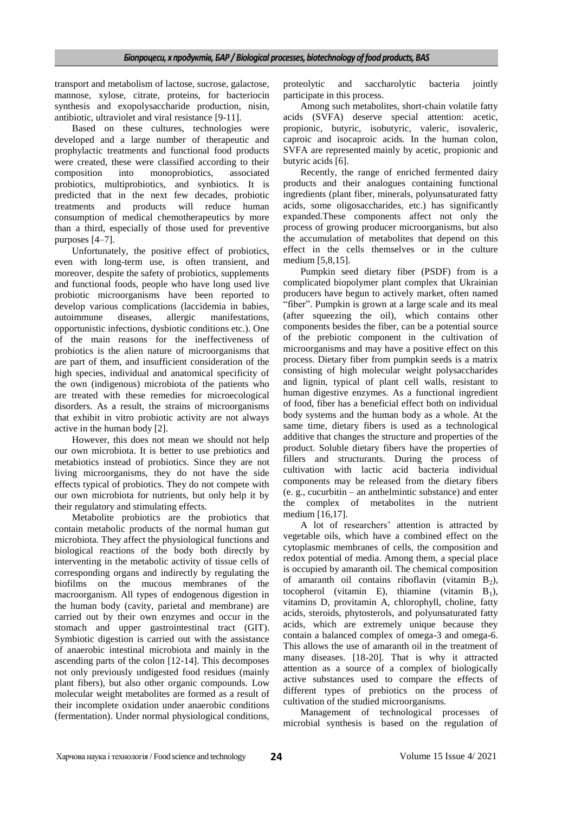transport and metabolism of lactose, sucrose, galactose, mannose, xylose, citrate, proteins, for bacteriocin synthesis and exopolysaccharide production, nisin, antibiotic, ultraviolet and viral resistance [9-11].

Based on these cultures, technologies were developed and a large number of therapeutic and prophylactic treatments and functional food products were created, these were classified according to their composition into monoprobiotics, associated probiotics, multiprobiotics, and synbiotics. It is predicted that in the next few decades, probiotic treatments and products will reduce human consumption of medical chemotherapeutics by more than a third, especially of those used for preventive purposes [4–7].

Unfortunately, the positive effect of probiotics, even with long-term use, is often transient, and moreover, despite the safety of probiotics, supplements and functional foods, people who have long used live probiotic microorganisms have been reported to develop various complications (laccidemia in babies, autoimmune diseases, allergic manifestations, opportunistic infections, dysbiotic conditions etc.). One of the main reasons for the ineffectiveness of probiotics is the alien nature of microorganisms that are part of them, and insufficient consideration of the high species, individual and anatomical specificity of the own (indigenous) microbiota of the patients who are treated with these remedies for microecological disorders. As a result, the strains of microorganisms that exhibit in vitro probiotic activity are not always active in the human body [2].

However, this does not mean we should not help our own microbiota. It is better to use prebiotics and metabiotics instead of probiotics. Since they are not living microorganisms, they do not have the side effects typical of probiotics. They do not compete with our own microbiota for nutrients, but only help it by their regulatory and stimulating effects.

Metabolite probiotics are the probiotics that contain metabolic products of the normal human gut microbiota. They affect the physiological functions and biological reactions of the body both directly by interventing in the metabolic activity of tissue cells of corresponding organs and indirectly by regulating the biofilms on the mucous membranes of the macroorganism. All types of endogenous digestion in the human body (cavity, parietal and membrane) are carried out by their own enzymes and occur in the stomach and upper gastrointestinal tract (GIT). Symbiotic digestion is carried out with the assistance of anaerobic intestinal microbiota and mainly in the ascending parts of the colon [12-14]. This decomposes not only previously undigested food residues (mainly plant fibers), but also other organic compounds. Low molecular weight metabolites are formed as a result of their incomplete oxidation under anaerobic conditions (fermentation). Under normal physiological conditions,

proteolytic and saccharolytic bacteria jointly participate in this process.

Among such metabolites, short-chain volatile fatty acids (SVFA) deserve special attention: acetic, propionic, butyric, isobutyric, valeric, isovaleric, caproic and isocaproic acids. In the human colon, SVFA are represented mainly by acetic, propionic and butyric acids [6].

Recently, the range of enriched fermented dairy products and their analogues containing functional ingredients (plant fiber, minerals, polyunsaturated fatty acids, some oligosaccharides, etc.) has significantly expanded.These components affect not only the process of growing producer microorganisms, but also the accumulation of metabolites that depend on this effect in the cells themselves or in the culture medium [5,8,15].

Pumpkin seed dietary fiber (PSDF) from is a complicated biopolymer plant complex that Ukrainian producers have begun to actively market, often named "fiber". Pumpkin is grown at a large scale and its meal (after squeezing the oil), which contains other components besides the fiber, can be a potential source of the prebiotic component in the cultivation of microorganisms and may have a positive effect on this process. Dietary fiber from pumpkin seeds is a matrix consisting of high molecular weight polysaccharides and lignin, typical of plant cell walls, resistant to human digestive enzymes. As a functional ingredient of food, fiber has a beneficial effect both on individual body systems and the human body as a whole. At the same time, dietary fibers is used as a technological additive that changes the structure and properties of the product. Soluble dietary fibers have the properties of fillers and structurants. During the process of cultivation with lactic acid bacteria individual components may be released from the dietary fibers (e. g., cucurbitin – an anthelmintic substance) and enter the complex of metabolites in the nutrient medium [16,17].

A lot of researchers' attention is attracted by vegetable oils, which have a combined effect on the cytoplasmic membranes of cells, the composition and redox potential of media. Among them, a special place is occupied by amaranth oil. The chemical composition of amaranth oil contains riboflavin (vitamin  $B_2$ ), tocopherol (vitamin E), thiamine (vitamin  $B_1$ ), vitamins D, provitamin A, chlorophyll, choline, fatty acids, steroids, phytosterols, and polyunsaturated fatty acids, which are extremely unique because they contain a balanced complex of omega-3 and omega-6. This allows the use of amaranth oil in the treatment of many diseases. [18-20]. That is why it attracted attention as a source of a complex of biologically active substances used to compare the effects of different types of prebiotics on the process of cultivation of the studied microorganisms.

Management of technological processes of microbial synthesis is based on the regulation of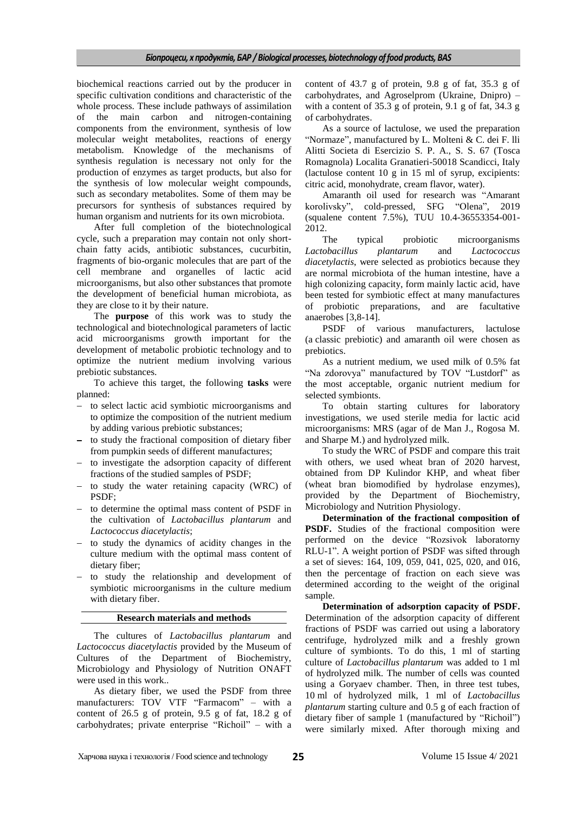biochemical reactions carried out by the producer in specific cultivation conditions and characteristic of the whole process. These include pathways of assimilation of the main carbon and nitrogen-containing components from the environment, synthesis of low molecular weight metabolites, reactions of energy metabolism. Knowledge of the mechanisms of synthesis regulation is necessary not only for the production of enzymes as target products, but also for the synthesis of low molecular weight compounds, such as secondary metabolites. Some of them may be precursors for synthesis of substances required by human organism and nutrients for its own microbiota.

After full completion of the biotechnological cycle, such a preparation may contain not only shortchain fatty acids, antibiotic substances, cucurbitin, fragments of bio-organic molecules that are part of the cell membrane and organelles of lactic acid microorganisms, but also other substances that promote the development of beneficial human microbiota, as they are close to it by their nature.

The **purpose** of this work was to study the technological and biotechnological parameters of lactic acid microorganisms growth important for the development of metabolic probiotic technology and to optimize the nutrient medium involving various prebiotic substances.

To achieve this target, the following **tasks** were planned:

- to select lactic acid symbiotic microorganisms and to optimize the composition of the nutrient medium by adding various prebiotic substances;
- to study the fractional composition of dietary fiber from pumpkin seeds of different manufactures;
- to investigate the adsorption capacity of different fractions of the studied samples of PSDF;
- to study the water retaining capacity (WRC) of PSDF;
- to determine the optimal mass content of PSDF in the cultivation of *Lactobacillus plantarum* and *Lactococcus diacetylactis*;
- to study the dynamics of acidity changes in the culture medium with the optimal mass content of dietary fiber;
- to study the relationship and development of symbiotic microorganisms in the culture medium with dietary fiber.

### **Research materials and methods**

The cultures of *Lactobacillus plantarum* and *Lactococcus diacetylactis* provided by the Museum of Cultures of the Department of Biochemistry, Microbiology and Physiology of Nutrition ONAFT were used in this work..

As dietary fiber, we used the PSDF from three manufacturers: TOV VTF "Farmacom" - with a content of 26.5 g of protein, 9.5 g of fat, 18.2 g of carbohydrates; private enterprise "Richoil" – with a

content of 43.7 g of protein, 9.8 g of fat, 35.3 g of carbohydrates, and Agroselprom (Ukraine, Dnipro) – with a content of 35.3 g of protein, 9.1 g of fat, 34.3 g of carbohydrates.

As a source of lactulose, we used the preparation "Normaze", manufactured by L. Molteni & C. dei F. lli Alitti Societa di Esercizio S. P. A., S. S. 67 (Tosca Romagnola) Localita Granatieri-50018 Scandicci, Italy (lactulose content 10 g in 15 ml of syrup, excipients: citric acid, monohydrate, cream flavor, water).

Amaranth oil used for research was "Amarant korolivsky", cold-pressed, SFG "Olena", 2019 (squalene content 7.5%), TUU 10.4-36553354-001- 2012.

The typical probiotic microorganisms *Lactobacillus plantarum* and *Lactococcus diacetylactis*, were selected as probiotics because they are normal microbiota of the human intestine, have a high colonizing capacity, form mainly lactic acid, have been tested for symbiotic effect at many manufactures of probiotic preparations, and are facultative anaerobes [3,8-14].

PSDF of various manufacturers, lactulose (a classic prebiotic) and amaranth oil were chosen as prebiotics.

As a nutrient medium, we used milk of 0.5% fat "Na zdorovya" manufactured by TOV "Lustdorf" as the most acceptable, organic nutrient medium for selected symbionts.

To obtain starting cultures for laboratory investigations, we used sterile media for lactic acid microorganisms: MRS (agar of de Man J., Rogosa M. and Sharpe M.) and hydrolyzed milk.

To study the WRC of PSDF and compare this trait with others, we used wheat bran of 2020 harvest, obtained from DP Kulindor KHP, and wheat fiber (wheat bran biomodified by hydrolase enzymes), provided by the Department of Biochemistry, Microbiology and Nutrition Physiology.

**Determination of the fractional composition of PSDF.** Studies of the fractional composition were performed on the device "Rozsivok laboratorny RLU-1". A weight portion of PSDF was sifted through a set of sieves: 164, 109, 059, 041, 025, 020, and 016, then the percentage of fraction on each sieve was determined according to the weight of the original sample.

**Determination of adsorption capacity of PSDF.**  Determination of the adsorption capacity of different fractions of PSDF was carried out using a laboratory centrifuge, hydrolyzed milk and a freshly grown culture of symbionts. To do this, 1 ml of starting culture of *Lactobacillus plantarum* was added to 1 ml of hydrolyzed milk. The number of cells was counted using a Goryaev chamber. Then, in three test tubes, 10 ml of hydrolyzed milk, 1 ml of *Lactobacillus plantarum* starting culture and 0.5 g of each fraction of dietary fiber of sample 1 (manufactured by "Richoil") were similarly mixed. After thorough mixing and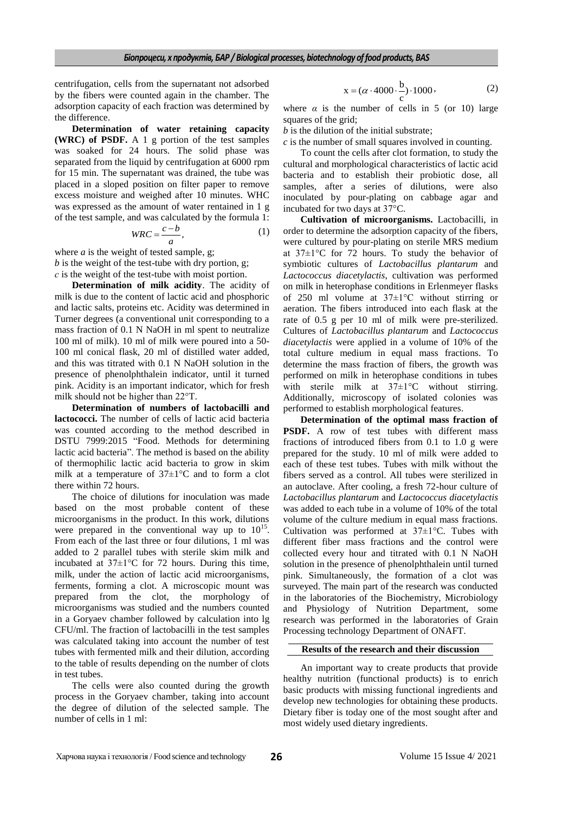centrifugation, cells from the supernatant not adsorbed by the fibers were counted again in the chamber. The adsorption capacity of each fraction was determined by the difference.

**Determination of water retaining capacity (WRC) of PSDF.** A 1 g portion of the test samples was soaked for 24 hours. The solid phase was separated from the liquid by centrifugation at 6000 rpm for 15 min. The supernatant was drained, the tube was placed in a sloped position on filter paper to remove excess moisture and weighed after 10 minutes. WHC was expressed as the amount of water rentained in 1 g of the test sample, and was calculated by the formula 1:

$$
WRC = \frac{c - b}{a},\tag{1}
$$

where *a* is the weight of tested sample, g; *b* is the weight of the test-tube with dry portion, g; *с* is the weight of the test-tube with moist portion.

**Determination of milk acidity**. The acidity of milk is due to the content of lactic acid and phosphoric and lactic salts, proteins etc. Acidity was determined in Turner degrees (a conventional unit corresponding to a mass fraction of 0.1 N NaOH in ml spent to neutralize 100 ml of milk). 10 ml of milk were poured into a 50- 100 ml conical flask, 20 ml of distilled water added, and this was titrated with 0.1 N NaOH solution in the presence of phenolphthalein indicator, until it turned pink. Acidity is an important indicator, which for fresh milk should not be higher than 22°T.

**Determination of numbers of lactobacilli and lactococci.** The number of cells of lactic acid bacteria was counted according to the method described in DSTU 7999:2015 "Food. Methods for determining lactic acid bacteria". The method is based on the ability of thermophilic lactic acid bacteria to grow in skim milk at a temperature of 37±1°C and to form a clot there within 72 hours.

The choice of dilutions for inoculation was made based on the most probable content of these microorganisms in the product. In this work, dilutions were prepared in the conventional way up to  $10^{15}$ . From each of the last three or four dilutions, 1 ml was added to 2 parallel tubes with sterile skim milk and incubated at  $37\pm1\degree$ C for 72 hours. During this time, milk, under the action of lactic acid microorganisms, ferments, forming a clot. A microscopic mount was prepared from the clot, the morphology of microorganisms was studied and the numbers counted in a Goryaev chamber followed by calculation into lg CFU/ml. The fraction of lactobacilli in the test samples was calculated taking into account the number of test tubes with fermented milk and their dilution, according to the table of results depending on the number of clots in test tubes.

The cells were also counted during the growth process in the Goryaev chamber, taking into account the degree of dilution of the selected sample. The number of cells in 1 ml:

$$
x = (\alpha \cdot 4000 \cdot \frac{b}{c}) \cdot 1000,
$$
 (2)

where  $\alpha$  is the number of cells in 5 (or 10) large squares of the grid;

*b* is the dilution of the initial substrate;

*c* is the number of small squares involved in counting.

To count the cells after clot formation, to study the cultural and morphological characteristics of lactic acid bacteria and to establish their probiotic dose, all samples, after a series of dilutions, were also inoculated by pour-plating on cabbage agar and incubated for two days at 37°C.

**Cultivation of microorganisms.** Lactobacilli, in order to determine the adsorption capacity of the fibers, were cultured by pour-plating on sterile MRS medium at 37±1°C for 72 hours. To study the behavior of symbiotic cultures of *Lactobacillus plantarum* and *Lactococcus diacetylactis*, cultivation was performed on milk in heterophase conditions in Erlenmeyer flasks of 250 ml volume at 37±1°C without stirring or aeration. The fibers introduced into each flask at the rate of 0.5 g per 10 ml of milk were pre-sterilized. Cultures of *Lactobacillus plantarum* and *Lactococcus diacetylactis* were applied in a volume of 10% of the total culture medium in equal mass fractions. To determine the mass fraction of fibers, the growth was performed on milk in heterophase conditions in tubes with sterile milk at  $37 \pm 1$ °C without stirring. Additionally, microscopy of isolated colonies was performed to establish morphological features.

**Determination of the optimal mass fraction of PSDF.** A row of test tubes with different mass fractions of introduced fibers from 0.1 to 1.0 g were prepared for the study. 10 ml of milk were added to each of these test tubes. Tubes with milk without the fibers served as a control. All tubes were sterilized in an autoclave. After cooling, a fresh 72-hour culture of *Lactobacillus plantarum* and *Lactococcus diacetylactis* was added to each tube in a volume of 10% of the total volume of the culture medium in equal mass fractions. Cultivation was performed at  $37\pm1^{\circ}$ C. Tubes with different fiber mass fractions and the control were collected every hour and titrated with 0.1 N NaOH solution in the presence of phenolphthalein until turned pink. Simultaneously, the formation of a clot was surveyed. The main part of the research was conducted in the laboratories of the Biochemistry, Microbiology and Physiology of Nutrition Department, some research was performed in the laboratories of Grain Processing technology Department of ONAFT.

### **Results of the research and their discussion**

An important way to create products that provide healthy nutrition (functional products) is to enrich basic products with missing functional ingredients and develop new technologies for obtaining these products. Dietary fiber is today one of the most sought after and most widely used dietary ingredients.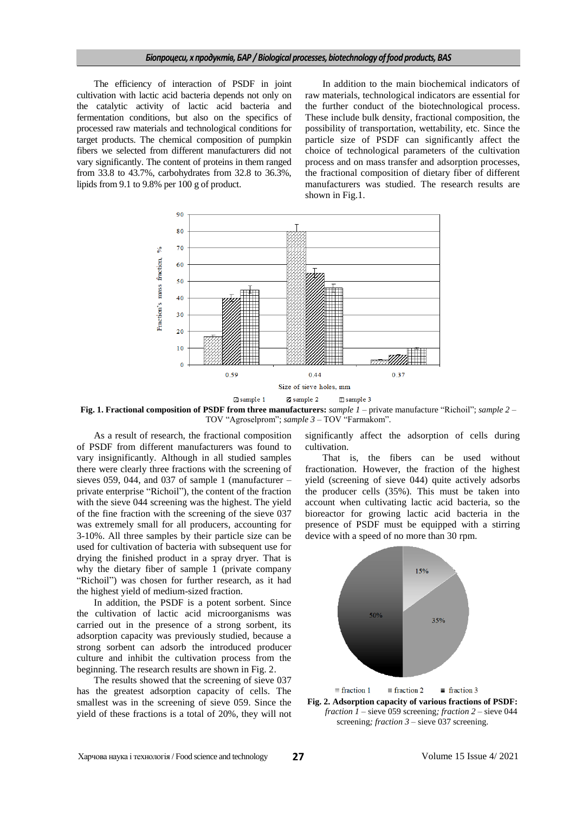### *Біопроцеси, х продуктів, БАР / Biological processes, biotechnology of food products, BAS*

The efficiency of interaction of PSDF in joint cultivation with lactic acid bacteria depends not only on the catalytic activity of lactic acid bacteria and fermentation conditions, but also on the specifics of processed raw materials and technological conditions for target products. The chemical composition of pumpkin fibers we selected from different manufacturers did not vary significantly. The content of proteins in them ranged from 33.8 to 43.7%, carbohydrates from 32.8 to 36.3%, lipids from 9.1 to 9.8% per 100 g of product.

In addition to the main biochemical indicators of raw materials, technological indicators are essential for the further conduct of the biotechnological process. These include bulk density, fractional composition, the possibility of transportation, wettability, etc. Since the particle size of PSDF can significantly affect the choice of technological parameters of the cultivation process and on mass transfer and adsorption processes, the fractional composition of dietary fiber of different manufacturers was studied. The research results are shown in Fig.1.



**Fig. 1. Fractional composition of PSDF from three manufacturers:** *sample* 1 – private manufacture "Richoil"; *sample* 2 – TOV "Agroselprom"; *sample*  $3 - TOV$  "Farmakom".

As a result of research, the fractional composition of PSDF from different manufacturers was found to vary insignificantly. Although in all studied samples there were clearly three fractions with the screening of sieves 059, 044, and 037 of sample 1 (manufacturer  $$ private enterprise "Richoil"), the content of the fraction with the sieve 044 screening was the highest. The yield of the fine fraction with the screening of the sieve 037 was extremely small for all producers, accounting for 3-10%. All three samples by their particle size can be used for cultivation of bacteria with subsequent use for drying the finished product in a spray dryer. That is why the dietary fiber of sample 1 (private company "Richoil") was chosen for further research, as it had the highest yield of medium-sized fraction.

In addition, the PSDF is a potent sorbent. Since the cultivation of lactic acid microorganisms was carried out in the presence of a strong sorbent, its adsorption capacity was previously studied, because a strong sorbent can adsorb the introduced producer culture and inhibit the cultivation process from the beginning. The research results are shown in Fig. 2.

The results showed that the screening of sieve 037 has the greatest adsorption capacity of cells. The smallest was in the screening of sieve 059. Since the yield of these fractions is a total of 20%, they will not significantly affect the adsorption of cells during cultivation.

That is, the fibers can be used without fractionation. However, the fraction of the highest yield (screening of sieve 044) quite actively adsorbs the producer cells (35%). This must be taken into account when cultivating lactic acid bacteria, so the bioreactor for growing lactic acid bacteria in the presence of PSDF must be equipped with a stirring device with a speed of no more than 30 rpm.



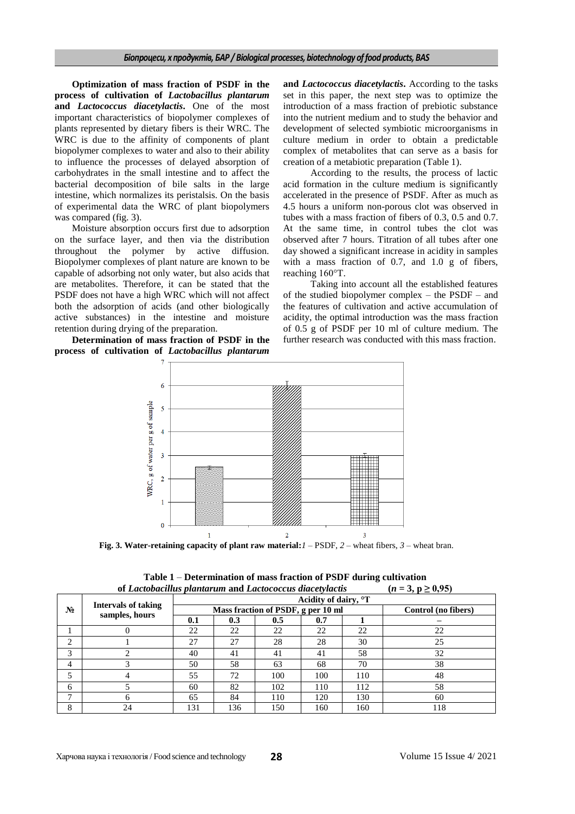**Optimization of mass fraction of PSDF in the process of cultivation of** *Lactobacillus plantarum* **and** *Lactococcus diacetylactis***.** One of the most important characteristics of biopolymer complexes of plants represented by dietary fibers is their WRC. The WRC is due to the affinity of components of plant biopolymer complexes to water and also to their ability to influence the processes of delayed absorption of carbohydrates in the small intestine and to affect the bacterial decomposition of bile salts in the large intestine, which normalizes its peristalsis. On the basis of experimental data the WRC of plant biopolymers was compared (fig. 3).

Moisture absorption occurs first due to adsorption on the surface layer, and then via the distribution throughout the polymer by active diffusion. Biopolymer complexes of plant nature are known to be capable of adsorbing not only water, but also acids that are metabolites. Therefore, it can be stated that the PSDF does not have a high WRC which will not affect both the adsorption of acids (and other biologically active substances) in the intestine and moisture retention during drying of the preparation.

**Determination of mass fraction of PSDF in the process of cultivation of** *Lactobacillus plantarum* **and** *Lactococcus diacetylactis***.** According to the tasks set in this paper, the next step was to optimize the introduction of a mass fraction of prebiotic substance into the nutrient medium and to study the behavior and development of selected symbiotic microorganisms in culture medium in order to obtain a predictable complex of metabolites that can serve as a basis for creation of a metabiotic preparation (Table 1).

According to the results, the process of lactic acid formation in the culture medium is significantly accelerated in the presence of PSDF. After as much as 4.5 hours a uniform non-porous clot was observed in tubes with a mass fraction of fibers of 0.3, 0.5 and 0.7. At the same time, in control tubes the clot was observed after 7 hours. Titration of all tubes after one day showed a significant increase in acidity in samples with a mass fraction of 0.7, and 1.0 g of fibers, reaching 160°T.

Taking into account all the established features of the studied biopolymer complex – the PSDF – and the features of cultivation and active accumulation of acidity, the optimal introduction was the mass fraction of 0.5 g of PSDF per 10 ml of culture medium. The further research was conducted with this mass fraction.



**Fig. 3. Water-retaining capacity of plant raw material:***1* – PSDF, *2* – wheat fibers, *3* – wheat bran.

|                | of Laciobaculus plantarum and Laciococcus alaceiviacus<br>$(n = 3, p \le 0, 93)$ |                                  |                                    |                     |     |     |     |  |  |  |  |  |
|----------------|----------------------------------------------------------------------------------|----------------------------------|------------------------------------|---------------------|-----|-----|-----|--|--|--|--|--|
| $N_2$          | <b>Intervals of taking</b><br>samples, hours                                     | Acidity of dairy, <sup>o</sup> T |                                    |                     |     |     |     |  |  |  |  |  |
|                |                                                                                  |                                  | Mass fraction of PSDF, g per 10 ml | Control (no fibers) |     |     |     |  |  |  |  |  |
|                |                                                                                  | 0.1                              | 0.3                                | 0.5                 | 0.7 |     |     |  |  |  |  |  |
|                |                                                                                  | 22                               | 22                                 | 22                  | 22  | 22  | 22  |  |  |  |  |  |
| 2              |                                                                                  | 27                               | 27                                 | 28                  | 28  | 30  | 25  |  |  |  |  |  |
| 3              |                                                                                  | 40                               | 41                                 | 41                  | 41  | 58  | 32  |  |  |  |  |  |
| $\overline{4}$ |                                                                                  | 50                               | 58                                 | 63                  | 68  | 70  | 38  |  |  |  |  |  |
|                |                                                                                  | 55                               | 72                                 | 100                 | 100 | 110 | 48  |  |  |  |  |  |
| 6              |                                                                                  | 60                               | 82                                 | 102                 | 110 | 112 | 58  |  |  |  |  |  |
| −              |                                                                                  | 65                               | 84                                 | 110                 | 120 | 130 | 60  |  |  |  |  |  |
| 8              | 24                                                                               | 131                              | 136                                | 150                 | 160 | 160 | 118 |  |  |  |  |  |

**Table 1** – **Determination** of mass fraction of PSDF during cultivation<br>tabacillus plantarum and Lastessesus disastylestic  $(n-3, n > 0.95)$ **of** *Lactobacillus plantarum* **and** *Lactococcus diacetylactis* **(***n* **= 3, p ≥ 0,95)**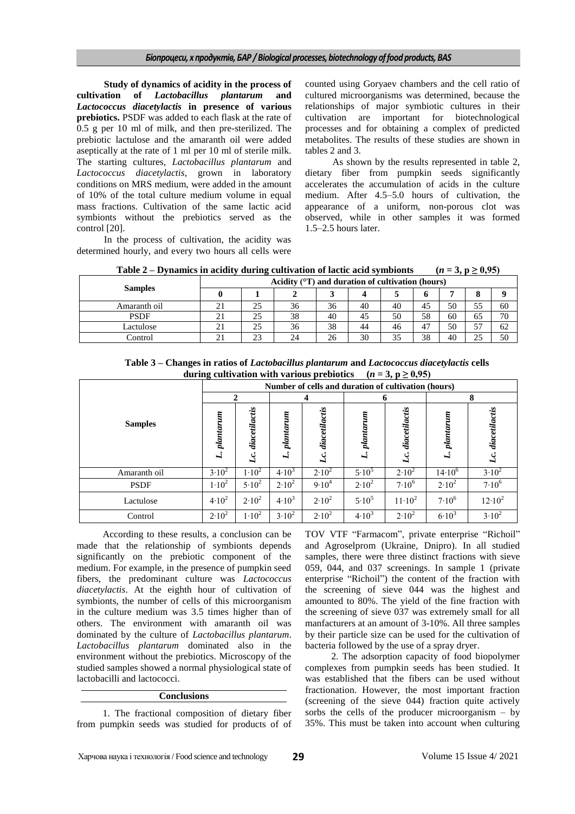**Study of dynamics of acidity in the process of cultivation of** *Lactobacillus plantarum* **and**  *Lactococcus diacetylactis* **in presence of various prebiotics.** PSDF was added to each flask at the rate of 0.5 g per 10 ml of milk, and then pre-sterilized. The prebiotic lactulose and the amaranth oil were added aseptically at the rate of 1 ml per 10 ml of sterile milk. The starting cultures, *Lactobacillus plantarum* and *Lactococcus diacetylactis*, grown in laboratory conditions on MRS medium, were added in the amount of 10% of the total culture medium volume in equal mass fractions. Cultivation of the same lactic acid symbionts without the prebiotics served as the control [20].

In the process of cultivation, the acidity was determined hourly, and every two hours all cells were counted using Goryaev chambers and the cell ratio of cultured microorganisms was determined, because the relationships of major symbiotic cultures in their cultivation are important for biotechnological processes and for obtaining a complex of predicted metabolites. The results of these studies are shown in tables 2 and 3.

As shown by the results represented in table 2, dietary fiber from pumpkin seeds significantly accelerates the accumulation of acids in the culture medium. After 4.5–5.0 hours of cultivation, the appearance of a uniform, non-porous clot was observed, while in other samples it was formed 1.5–2.5 hours later.

**Table** 2 – **Dynamics in acidity during cultivation of lactic acid symbionts (** $n = 3$ **,**  $p \ge 0.95$ **)** 

|                | Acidity $(^{\circ}T)$ and duration of cultivation (hours) |    |    |    |    |    |    |    |    |    |
|----------------|-----------------------------------------------------------|----|----|----|----|----|----|----|----|----|
| <b>Samples</b> |                                                           |    |    |    |    |    |    |    |    |    |
| Amaranth oil   | 21                                                        | 25 | 36 | 36 | 40 | 40 | 45 | 50 | 55 | 60 |
| <b>PSDF</b>    | 21                                                        | 25 | 38 | 40 | 45 | 50 | 58 | 60 | 65 | 70 |
| Lactulose      |                                                           | 25 | 36 | 38 | 44 | 46 | 47 | 50 | 57 | 62 |
| Control        |                                                           | 23 | 24 | 26 | 30 | 35 | 38 | 40 | 25 | 50 |

**Table 3 – Changes in ratios of** *Lactobacillus plantarum* **and** *Lactococcus diacetylactis* **cells during cultivation with various prebiotics**  $(n = 3, p \ge 0.95)$ 

|                | o<br>Number of cells and duration of cultivation (hours) |                      |                     |                                 |                    |                      |                 |                      |  |  |
|----------------|----------------------------------------------------------|----------------------|---------------------|---------------------------------|--------------------|----------------------|-----------------|----------------------|--|--|
|                | $\mathbf{2}$                                             |                      | 4                   |                                 | 6                  |                      | 8               |                      |  |  |
| <b>Samples</b> | planarum<br>Ľ.                                           | diacetilactis<br>Lc. | nm.<br>planar<br>Ľ. | diacetilactis<br>$\mathcal{L}.$ | $p$ lantarum<br>Ľ. | diacetilactis<br>Lc. | plantarum<br>L. | diacetilactis<br>Lc. |  |  |
| Amaranth oil   | $3.10^{2}$                                               | $1.10^{2}$           | $4.10^{3}$          | $2.10^2$                        | $5.10^{5}$         | $2.10^2$             | $14.10^{6}$     | $3.10^{2}$           |  |  |
| <b>PSDF</b>    | $1.10^{2}$                                               | $5.10^{2}$           | $2.10^{2}$          | $9.10^{4}$                      | $2.10^2$           | $7.10^{6}$           | $2.10^2$        | $7.10^{6}$           |  |  |
| Lactulose      | $4.10^{2}$                                               | $2.10^2$             | $4.10^{3}$          | $2.10^2$                        | $5.10^{5}$         | $11 \cdot 10^2$      | $7.10^{6}$      | $12.10^2$            |  |  |
| Control        | $2.10^{2}$                                               | $1.10^{2}$           | $3.10^{2}$          | $2.10^2$                        | $4.10^{3}$         | $2.10^2$             | $6.10^{3}$      | $3.10^{2}$           |  |  |

According to these results, a conclusion can be made that the relationship of symbionts depends significantly on the prebiotic component of the medium. For example, in the presence of pumpkin seed fibers, the predominant culture was *Lactococcus diacetylactis*. At the eighth hour of cultivation of symbionts, the number of cells of this microorganism in the culture medium was 3.5 times higher than of others. The environment with amaranth oil was dominated by the culture of *Lactobacillus plantarum*. *Lactobacillus plantarum* dominated also in the environment without the prebiotics. Microscopy of the studied samples showed a normal physiological state of lactobacilli and lactococci.

## **Conclusions**

1. The fractional composition of dietary fiber from pumpkin seeds was studied for products of of TOV VTF "Farmacom", private enterprise "Richoil" and Agroselprom (Ukraine, Dnipro). In all studied samples, there were three distinct fractions with sieve 059, 044, and 037 screenings. In sample 1 (private enterprise "Richoil") the content of the fraction with the screening of sieve 044 was the highest and amounted to 80%. The yield of the fine fraction with the screening of sieve 037 was extremely small for all manfacturers at an amount of 3-10%. All three samples by their particle size can be used for the cultivation of bacteria followed by the use of a spray dryer.

2. The adsorption capacity of food biopolymer complexes from pumpkin seeds has been studied. It was established that the fibers can be used without fractionation. However, the most important fraction (screening of the sieve 044) fraction quite actively sorbs the cells of the producer microorganism – by 35%. This must be taken into account when culturing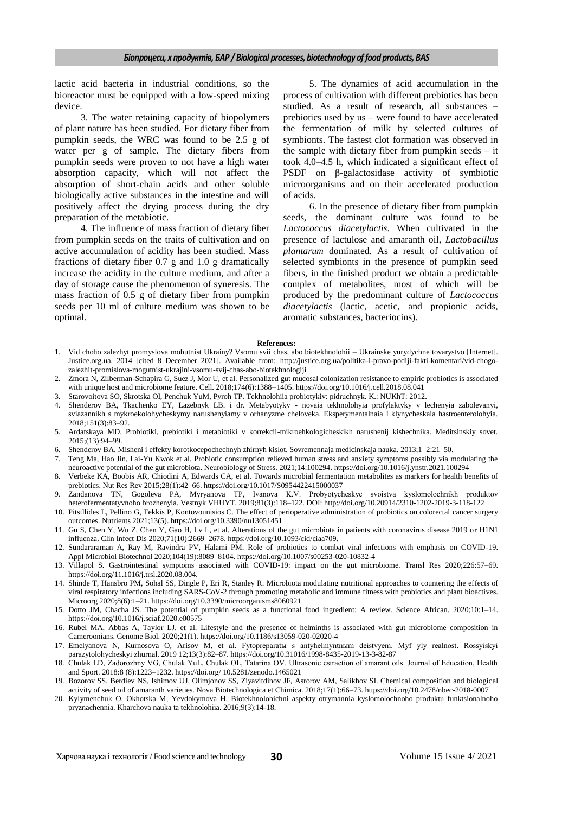lactic acid bacteria in industrial conditions, so the bioreactor must be equipped with a low-speed mixing device.

3. The water retaining capacity of biopolymers of plant nature has been studied. For dietary fiber from pumpkin seeds, the WRC was found to be 2.5 g of water per g of sample. The dietary fibers from pumpkin seeds were proven to not have a high water absorption capacity, which will not affect the absorption of short-chain acids and other soluble biologically active substances in the intestine and will positively affect the drying process during the dry preparation of the metabiotic.

4. The influence of mass fraction of dietary fiber from pumpkin seeds on the traits of cultivation and on active accumulation of acidity has been studied. Mass fractions of dietary fiber 0.7 g and 1.0 g dramatically increase the acidity in the culture medium, and after a day of storage cause the phenomenon of syneresis. The mass fraction of 0.5 g of dietary fiber from pumpkin seeds per 10 ml of culture medium was shown to be optimal.

5. The dynamics of acid accumulation in the process of cultivation with different prebiotics has been studied. As a result of research, all substances – prebiotics used by us – were found to have accelerated the fermentation of milk by selected cultures of symbionts. The fastest clot formation was observed in the sample with dietary fiber from pumpkin seeds – it took 4.0–4.5 h, which indicated a significant effect of PSDF on β-galactosidase activity of symbiotic microorganisms and on their accelerated production of acids.

6. In the presence of dietary fiber from pumpkin seeds, the dominant culture was found to be *Lactococcus diacetylactis*. When cultivated in the presence of lactulose and amaranth oil, *Lactobacillus plantarum* dominated. As a result of cultivation of selected symbionts in the presence of pumpkin seed fibers, in the finished product we obtain a predictable complex of metabolites, most of which will be produced by the predominant culture of *Lactococcus diacetylactis* (lactic, acetic, and propionic acids, aromatic substances, bacteriocins).

#### **References:**

- 1. Vid choho zalezhyt promyslova mohutnist Ukrainy? Vsomu svii chas, abo biotekhnolohii Ukrainske yurydychne tovarystvo [Internet]. Justice.org.ua. 2014 [cited 8 December 2021]. Available from: [http://justice.org.ua/politika-i-pravo-podiji-fakti-komentari/vid-chogo](http://justice.org.ua/politika-i-pravo-podiji-fakti-komentari/vid-chogo-zalezhit-promislova-mogutnist-ukrajini-vsomu-svij-chas-abo-biotekhnologiji)[zalezhit-promislova-mogutnist-ukrajini-vsomu-svij-chas-abo-biotekhnologiji](http://justice.org.ua/politika-i-pravo-podiji-fakti-komentari/vid-chogo-zalezhit-promislova-mogutnist-ukrajini-vsomu-svij-chas-abo-biotekhnologiji)
- 2. Zmora N, Zilberman-Schapira G, Suez J, Mor U, et al. Personalized gut mucosal colonization resistance to empiric probiotics is associated with unique host and microbiome feature. Cell. 2018;174(6):1388–1405[. https://doi.org/10.1016/j.cell.2018.08.041](https://doi.org/10.1016/j.cell.2018.08.041)
- 3. Starovoitova SO, Skrotska OI, Penchuk YuM, Pyroh TP. Tekhnolohiia probiotykiv: pidruchnyk. K.: NUKhT: 2012.
- 4. Shenderov BA, Tkachenko EY, Lazebnyk LB. i dr. Metabyotyky novaia tekhnolohyia profylaktyky v lechenyia zabolevanyi, sviazannikh s mykroekolohycheskymy narushenyiamy v orhanyzme cheloveka. Eksperymentalnaia I klynycheskaia hastroenterolohyia. 2018;151(3):83–92.
- 5. Ardatskaya MD. Probiotiki, prebiotiki i metabiotiki v korrekcii-mikroehkologicheskikh narushenij kishechnika. Meditsinskiy sovet. 2015;(13):94–99.
- 6. Shenderov BA. Misheni i effekty korotkocepochechnyh zhirnyh kislot. Sovremennaja medicinskaja nauka. 2013;1–2:21–50.
- 7. Teng Ma, Hao Jin, Lai-Yu Kwok et al. Probiotic consumption relieved human stress and anxiety symptoms possibly via modulating the neuroactive potential of the gut microbiota. Neurobiology of Stress. 2021;14:100294. <https://doi.org/10.1016/j.ynstr.2021.100294>
- 8. Verbeke KA, Boobis AR, Chiodini A, Edwards CA, et al. Towards microbial fermentation metabolites as markers for health benefits of prebiotics. Nut Res Rev 2015;28(1):42–66. <https://doi.org/10.1017/S0954422415000037>
- 9. Zandanova TN, Gogoleva PA, Myryanova TP, Ivanova K.V. Probyotycheskye svoistva kyslomolochnіkh produktov heterofermentatyvnoho brozhenyia. Vestnyk VHUYT. 2019;81(3):118–122. DOI:<http://doi.org/10.20914/2310-1202-2019-3-118-122>
- 10. Pitsillides L, Pellino G, Tekkis P, Kontovounisios C. The effect of perioperative administration of probiotics on colorectal cancer surgery outcomes. Nutrients 2021;13(5).<https://doi.org/10.3390/nu13051451>
- 11. Gu S, Chen Y, Wu Z, Chen Y, Gao H, Lv L, et al. Alterations of the gut microbiota in patients with coronavirus disease 2019 or H1N1 influenza. Clin Infect Dis 2020;71(10):2669–2678[. https://doi.org/10.1093/cid/ciaa709.](https://doi.org/10.1093/cid/ciaa709.)
- 12. Sundararaman A, Ray M, Ravindra PV, Halami PM. Role of probiotics to combat viral infections with emphasis on COVID-19. Appl Microbiol Biotechnol 2020;104(19):8089–8104.<https://doi.org/10.1007/s00253-020-10832-4>
- 13. Villapol S. Gastrointestinal symptoms associated with COVID-19: impact on the gut microbiome. Transl Res 2020;226:57–69. <https://doi.org/11.1016/j.trsl.2020.08.004.>
- 14. Shinde T, Hansbro PM, Sohal SS, Dingle P, Eri R, Stanley R. Microbiota modulating nutritional approaches to countering the effects of viral respiratory infections including SARS-CoV-2 through promoting metabolic and immune fitness with probiotics and plant bioactives. Microorg 2020;8(6):1–21.<https://doi.org/10.3390/microorganisms8060921>
- 15. Dotto JM, Chacha JS. The potential of pumpkin seeds as a functional food ingredient: A review. Science African. 2020;10:1–14. <https://doi.org/10.1016/j.sciaf.2020.e00575>
- 16. Rubel MA, Abbas A, Taylor LJ, et al. Lifestyle and the presence of helminths is associated with gut microbiome composition in Cameroonians. Genome Biol. 2020;21(1). <https://doi.org/10.1186/s13059-020-02020-4>
- 17. Emelyanova N, Kurnosova O, Arisov M, et al. Fytopreparatы s antyhelmyntnыm deistvyem. Myf yly realnost. Rossyiskyi parazytolohycheskyi zhurnal. 2019 12;13(3):82–87.<https://doi.org/10.31016/1998-8435-2019-13-3-82-87>
- 18. Chulak LD, Zadorozhny VG, Chulak YuL, Chulak OL, Tatarina OV. Ultrasonic estraction of amarant oils. Journal of Education, Нealth and Sport. 2018:8 (8):1223–1232[. https://doi.org/ 10.5281/zenodo.1465021](https://doi.org/%2010.5281/zenodo.1465021)
- 19. Bozorov SS, Berdiev NS, Ishimov UJ, Olimjonov SS, Ziyavitdinov JF, Asrorov AM, Salikhov SI. Chemical composition and biological activity of seed oil of amaranth varieties. Nova Biotechnologica et Chimica. 2018;17(1):66–73[. https://doi.org/10.2478/nbec-2018-0007](https://doi.org/10.2478/nbec-2018-0007)
- 20. Kylymenchuk O, Okhotska M, Yevdokymova H. Biotekhnolohichni aspekty otrymannia kyslomolochnoho produktu funktsionalnoho pryznachennia. Kharchova nauka ta tekhnolohiia. 2016;9(3):14-18.